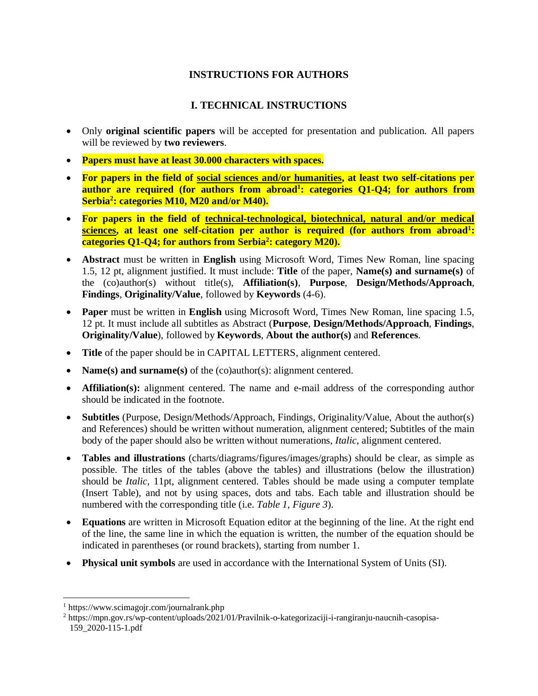# **INSTRUCTIONS FOR AUTHORS**

## **I. TECHNICAL INSTRUCTIONS**

- Only **original scientific papers** will be accepted for presentation and publication. All papers will be reviewed by **two reviewers**.
- **Papers must have at least 30.000 characters with spaces.**
- **For papers in the field of social sciences and/or humanities, at least two self-citations per author are required (for authors from abroad<sup>1</sup> : categories Q1-Q4; for authors from Serbia<sup>2</sup> : categories M10, M20 and/or M40).**
- **For papers in the field of technical-technological, biotechnical, natural and/or medical sciences, at least one self-citation per author is required (for authors from abroad<sup>1</sup> : categories Q1-Q4; for authors from Serbia<sup>2</sup> : category M20).**
- **Abstract** must be written in **English** using Microsoft Word, Times New Roman, line spacing 1.5, 12 pt, alignment justified. It must include: **Title** of the paper, **Name(s) and surname(s)** of the (co)author(s) without title(s), **Affiliation(s)**, **Purpose**, **Design/Methods/Approach**, **Findings**, **Originality/Value**, followed by **Keywords** (4-6).
- **Paper** must be written in **English** using Microsoft Word, Times New Roman, line spacing 1.5, 12 pt. It must include all subtitles as Abstract (**Purpose**, **Design/Methods/Approach**, **Findings**, **Originality/Value**), followed by **Keywords**, **About the author(s)** and **References**.
- **Title** of the paper should be in CAPITAL LETTERS, alignment centered.
- **Name(s) and surname(s)** of the (co)author(s): alignment centered.
- **Affiliation(s):** alignment centered. The name and e-mail address of the corresponding author should be indicated in the footnote.
- **Subtitles** (Purpose, Design/Methods/Approach, Findings, Originality/Value, About the author(s) and References) should be written without numeration, alignment centered; Subtitles of the main body of the paper should also be written without numerations, *Italic*, alignment centered.
- **Tables and illustrations** (charts/diagrams/figures/images/graphs) should be clear, as simple as possible. The titles of the tables (above the tables) and illustrations (below the illustration) should be *Italic*, 11pt, alignment centered. Tables should be made using a computer template (Insert Table), and not by using spaces, dots and tabs. Each table and illustration should be numbered with the corresponding title (i.e. *Table 1*, *Figure 3*).
- **Equations** are written in Microsoft Equation editor at the beginning of the line. At the right end of the line, the same line in which the equation is written, the number of the equation should be indicated in parentheses (or round brackets), starting from number 1.
- **Physical unit symbols** are used in accordance with the International System of Units (SI).

 $\overline{a}$ 

<sup>1</sup> https://www.scimagojr.com/journalrank.php

<sup>2</sup> https://mpn.gov.rs/wp-content/uploads/2021/01/Pravilnik-o-kategorizaciji-i-rangiranju-naucnih-casopisa-159\_2020-115-1.pdf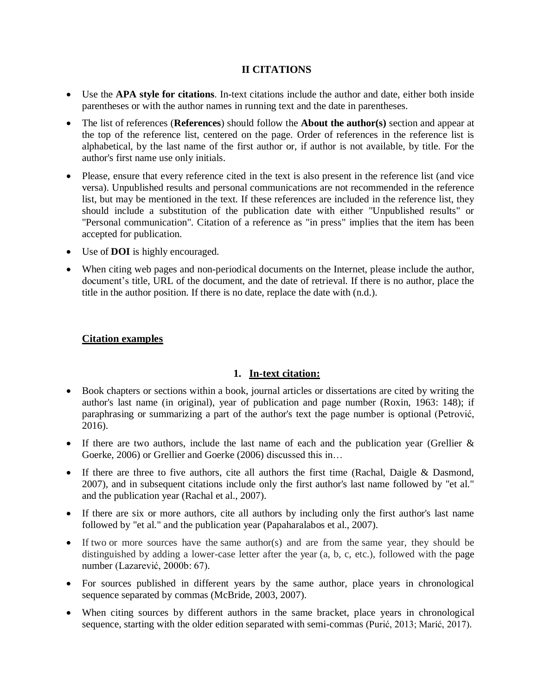## **II CITATIONS**

- Use the **APA style for citations**. In-text citations include the author and date, either both inside parentheses or with the author names in running text and the date in parentheses.
- The list of references (**References**) should follow the **About the author(s)** section and appear at the top of the reference list, centered on the page. Order of references in the reference list is alphabetical, by the last name of the first author or, if author is not available, by title. For the author's first name use only initials.
- Please, ensure that every reference cited in the text is also present in the reference list (and vice versa). Unpublished results and personal communications are not recommended in the reference list, but may be mentioned in the text. If these references are included in the reference list, they should include a substitution of the publication date with either "Unpublished results" or "Personal communication". Citation of a reference as "in press" implies that the item has been accepted for publication.
- Use of **DOI** is highly encouraged.
- When citing web pages and non-periodical documents on the Internet, please include the author, document's title, URL of the document, and the date of retrieval. If there is no author, place the title in the author position. If there is no date, replace the date with (n.d.).

## **Citation examples**

#### **1. In-text citation:**

- Book chapters or sections within a book, journal articles or dissertations are cited by writing the author's last name (in original), year of publication and page number (Roxin, 1963: 148); if paraphrasing or summarizing a part of the author's text the page number is optional (Petrović, 2016).
- If there are two authors, include the last name of each and the publication year (Grellier & Goerke, 2006) or Grellier and Goerke (2006) discussed this in…
- If there are three to five authors, cite all authors the first time (Rachal, Daigle & Dasmond, 2007), and in subsequent citations include only the first author's last name followed by "et al." and the publication year (Rachal et al., 2007).
- If there are six or more authors, cite all authors by including only the first author's last name followed by "et al." and the publication year (Papaharalabos et al., 2007).
- If two or more sources have the same author(s) and are from the same year, they should be distinguished by adding a lower-case letter after the year (a, b, c, etc.), followed with the page number (Lazarević, 2000b: 67).
- For sources published in different years by the same author, place years in chronological sequence separated by commas (McBride, 2003, 2007).
- When citing sources by different authors in the same bracket, place years in chronological sequence, starting with the older edition separated with semi-commas (Purić, 2013; Marić, 2017).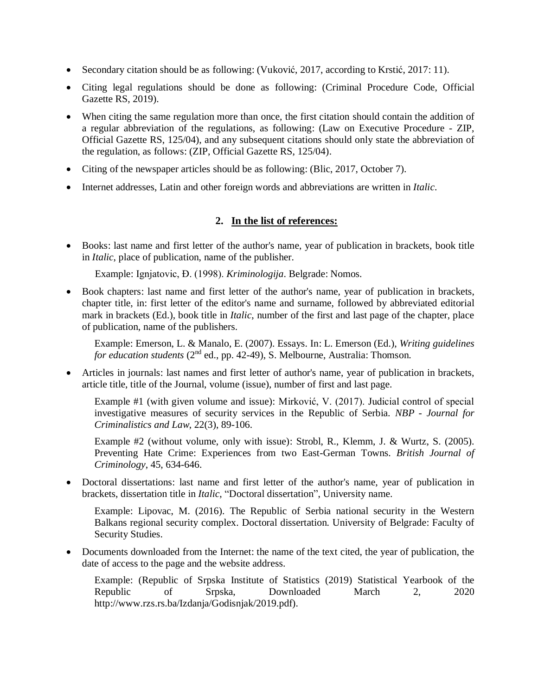- Secondary citation should be as following: (Vuković, 2017, according to Krstić, 2017: 11).
- Citing legal regulations should be done as following: (Criminal Procedure Code, Official Gazette RS, 2019).
- When citing the same regulation more than once, the first citation should contain the addition of a regular abbreviation of the regulations, as following: (Law on Executive Procedure - ZIP, Official Gazette RS, 125/04), and any subsequent citations should only state the abbreviation of the regulation, as follows: (ZIP, Official Gazette RS, 125/04).
- Citing of the newspaper articles should be as following: (Blic, 2017, October 7).
- Internet addresses, Latin and other foreign words and abbreviations are written in *Italic*.

#### **2. In the list of references:**

 Books: last name and first letter of the author's name, year of publication in brackets, book title in *Italic*, place of publication, name of the publisher.

Example: Ignjatovic, Đ. (1998). *Kriminologija*. Belgrade: Nomos.

 Book chapters: last name and first letter of the author's name, year of publication in brackets, chapter title, in: first letter of the editor's name and surname, followed by abbreviated editorial mark in brackets (Ed.), book title in *Italic*, number of the first and last page of the chapter, place of publication, name of the publishers.

Example: Emerson, L. & Manalo, E. (2007). Essays. In: L. Emerson (Ed.), *Writing guidelines for education students* (2<sup>nd</sup> ed., pp. 42-49), S. Melbourne, Australia: Thomson.

 Articles in journals: last names and first letter of author's name, year of publication in brackets, article title, title of the Journal, volume (issue), number of first and last page.

Example #1 (with given volume and issue): Mirković, V. (2017). Judicial control of special investigative measures of security services in the Republic of Serbia. *NBP - Journal for Criminalistics and Law*, 22(3), 89-106.

Example #2 (without volume, only with issue): Strobl, R., Klemm, J. & Wurtz, S. (2005). Preventing Hate Crime: Experiences from two East-German Towns. *British Journal of Criminology*, 45, 634-646.

 Doctoral dissertations: last name and first letter of the author's name, year of publication in brackets, dissertation title in *Italic*, "Doctoral dissertation", University name.

Example: Lipovac, M. (2016). The Republic of Serbia national security in the Western Balkans regional security complex. Doctoral dissertation. University of Belgrade: Faculty of Security Studies.

 Documents downloaded from the Internet: the name of the text cited, the year of publication, the date of access to the page and the website address.

Example: (Republic of Srpska Institute of Statistics (2019) Statistical Yearbook of the Republic of Srpska, Downloaded March 2, 2020 http://www.rzs.rs.ba/Izdanja/Godisnjak/2019.pdf).